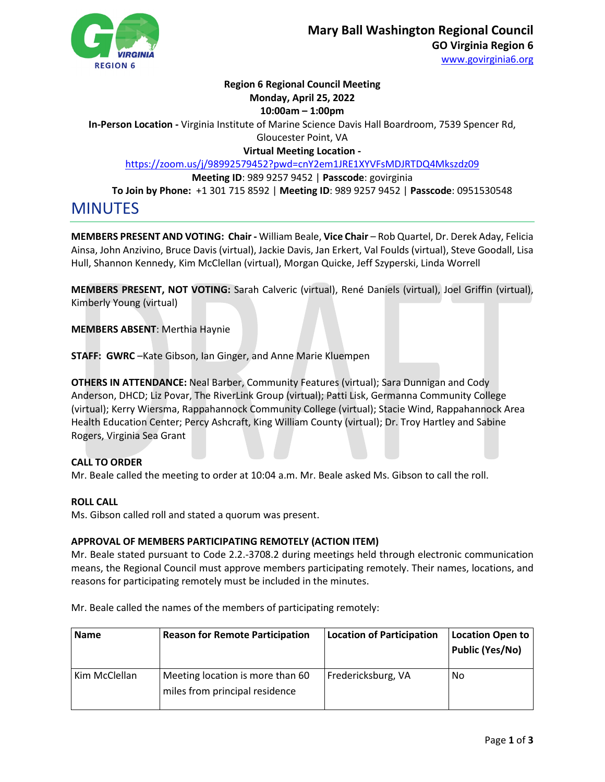

## **Region 6 Regional Council Meeting**

# **Monday, April 25, 2022**

## **10:00am – 1:00pm**

**In-Person Location -** Virginia Institute of Marine Science Davis Hall Boardroom, 7539 Spencer Rd, Gloucester Point, VA

**Virtual Meeting Location -**

<https://zoom.us/j/98992579452?pwd=cnY2em1JRE1XYVFsMDJRTDQ4Mkszdz09>

**Meeting ID**: 989 9257 9452 | **Passcode**: govirginia

**To Join by Phone:** +1 301 715 8592 | **Meeting ID**: 989 9257 9452 | **Passcode**: 0951530548

MINUTES

**MEMBERS PRESENT AND VOTING: Chair -** William Beale, **Vice Chair** – Rob Quartel, Dr. Derek Aday, Felicia Ainsa, John Anzivino, Bruce Davis (virtual), Jackie Davis, Jan Erkert, Val Foulds (virtual), Steve Goodall, Lisa Hull, Shannon Kennedy, Kim McClellan (virtual), Morgan Quicke, Jeff Szyperski, Linda Worrell

**MEMBERS PRESENT, NOT VOTING:** Sarah Calveric (virtual), René Daniels (virtual), Joel Griffin (virtual), Kimberly Young (virtual)

**MEMBERS ABSENT**: Merthia Haynie

**STAFF: GWRC** –Kate Gibson, Ian Ginger, and Anne Marie Kluempen

**OTHERS IN ATTENDANCE:** Neal Barber, Community Features (virtual); Sara Dunnigan and Cody Anderson, DHCD; Liz Povar, The RiverLink Group (virtual); Patti Lisk, Germanna Community College (virtual); Kerry Wiersma, Rappahannock Community College (virtual); Stacie Wind, Rappahannock Area Health Education Center; Percy Ashcraft, King William County (virtual); Dr. Troy Hartley and Sabine Rogers, Virginia Sea Grant

## **CALL TO ORDER**

Mr. Beale called the meeting to order at 10:04 a.m. Mr. Beale asked Ms. Gibson to call the roll.

## **ROLL CALL**

Ms. Gibson called roll and stated a quorum was present.

## **APPROVAL OF MEMBERS PARTICIPATING REMOTELY (ACTION ITEM)**

Mr. Beale stated pursuant to Code 2.2.-3708.2 during meetings held through electronic communication means, the Regional Council must approve members participating remotely. Their names, locations, and reasons for participating remotely must be included in the minutes.

Mr. Beale called the names of the members of participating remotely:

| <b>Name</b>   | <b>Reason for Remote Participation</b>                             | <b>Location of Participation</b> | <b>Location Open to</b><br><b>Public (Yes/No)</b> |
|---------------|--------------------------------------------------------------------|----------------------------------|---------------------------------------------------|
| Kim McClellan | Meeting location is more than 60<br>miles from principal residence | Fredericksburg, VA               | -No                                               |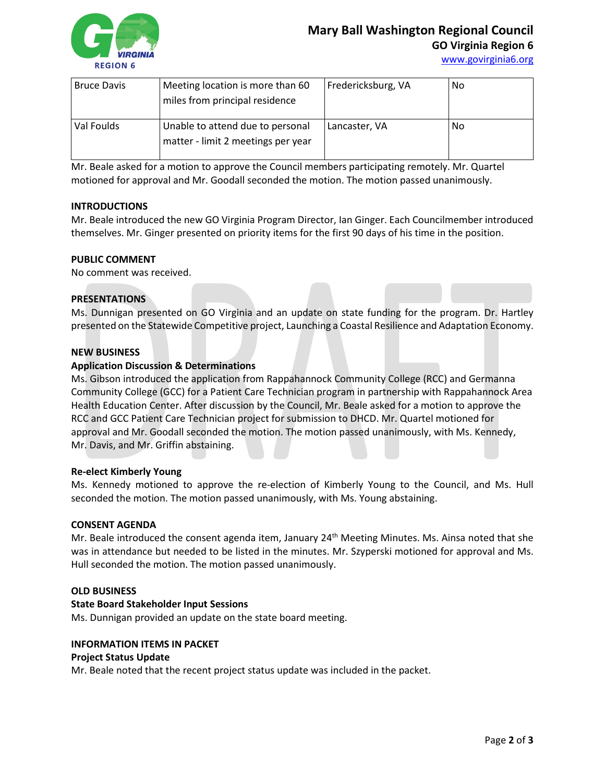

| <b>Bruce Davis</b> | Meeting location is more than 60<br>miles from principal residence     | Fredericksburg, VA | -No |
|--------------------|------------------------------------------------------------------------|--------------------|-----|
| Val Foulds         | Unable to attend due to personal<br>matter - limit 2 meetings per year | Lancaster, VA      | No  |

Mr. Beale asked for a motion to approve the Council members participating remotely. Mr. Quartel motioned for approval and Mr. Goodall seconded the motion. The motion passed unanimously.

#### **INTRODUCTIONS**

Mr. Beale introduced the new GO Virginia Program Director, Ian Ginger. Each Councilmember introduced themselves. Mr. Ginger presented on priority items for the first 90 days of his time in the position.

#### **PUBLIC COMMENT**

No comment was received.

#### **PRESENTATIONS**

Ms. Dunnigan presented on GO Virginia and an update on state funding for the program. Dr. Hartley presented on the Statewide Competitive project, Launching a Coastal Resilience and Adaptation Economy.

#### **NEW BUSINESS**

#### **Application Discussion & Determinations**

Ms. Gibson introduced the application from Rappahannock Community College (RCC) and Germanna Community College (GCC) for a Patient Care Technician program in partnership with Rappahannock Area Health Education Center. After discussion by the Council, Mr. Beale asked for a motion to approve the RCC and GCC Patient Care Technician project for submission to DHCD. Mr. Quartel motioned for approval and Mr. Goodall seconded the motion. The motion passed unanimously, with Ms. Kennedy, Mr. Davis, and Mr. Griffin abstaining.

#### **Re-elect Kimberly Young**

Ms. Kennedy motioned to approve the re-election of Kimberly Young to the Council, and Ms. Hull seconded the motion. The motion passed unanimously, with Ms. Young abstaining.

#### **CONSENT AGENDA**

Mr. Beale introduced the consent agenda item, January 24<sup>th</sup> Meeting Minutes. Ms. Ainsa noted that she was in attendance but needed to be listed in the minutes. Mr. Szyperski motioned for approval and Ms. Hull seconded the motion. The motion passed unanimously.

#### **OLD BUSINESS**

#### **State Board Stakeholder Input Sessions**

Ms. Dunnigan provided an update on the state board meeting.

## **INFORMATION ITEMS IN PACKET**

## **Project Status Update**

Mr. Beale noted that the recent project status update was included in the packet.